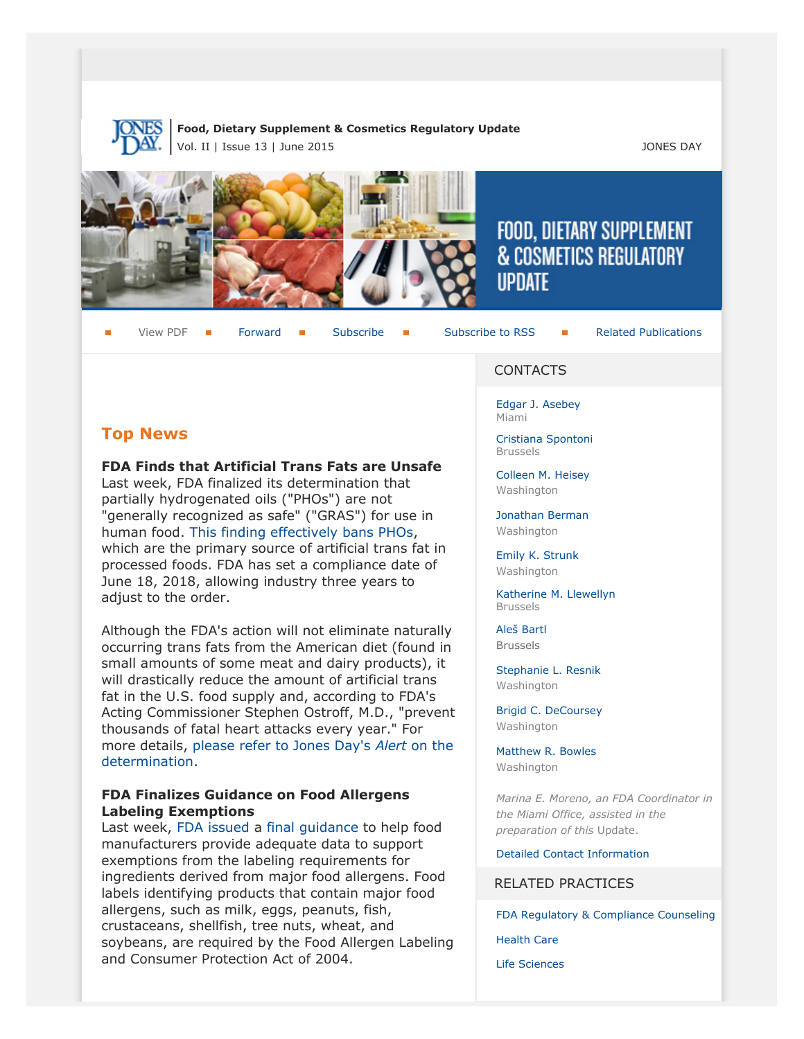

# **Food, Dietary Supplement & Cosmetics Regulatory Update**

Vol. II | Issue 13 | June 2015 JONES DAY







# FOOD, DIETARY SUPPLEMENT **& COSMETICS REGULATORY IIPDATF**

View PDF **[Forward](http://thewritestuff.jonesday.com/cff/18928c33451a50854a89f9b1ecbd1b90d0682509/) Forward [Subscribe](http://www.jonesday.com/newsknowledge/publications.aspx) Gubscribe to RSS** [Related Publications](http://www.jonesday.com/experiencepractices/servicedetail.aspx?serviceid=593cb647-a5c4-49c3-9086-fedc34b24e1d§ion=Publications)

# **Top News**

**FDA Finds that Artificial Trans Fats are Unsafe**

Last week, FDA finalized its determination that partially hydrogenated oils ("PHOs") are not "generally recognized as safe" ("GRAS") for use in human food. [This finding effectively bans PHOs,](http://www.fda.gov/ForConsumers/ConsumerUpdates/ucm372915.htm) which are the primary source of artificial trans fat in processed foods. FDA has set a compliance date of June 18, 2018, allowing industry three years to adjust to the order.

Although the FDA's action will not eliminate naturally occurring trans fats from the American diet (found in small amounts of some meat and dairy products), it will drastically reduce the amount of artificial trans fat in the U.S. food supply and, according to FDA's Acting Commissioner Stephen Ostroff, M.D., "prevent thousands of fatal heart attacks every year." For more details, [please refer to Jones Day's](http://www.jonesday.com/fda-finds-that-artificial-trans-fats-are-unsafe-06-17-2015/) *Alert* on the [determination](http://www.jonesday.com/fda-finds-that-artificial-trans-fats-are-unsafe-06-17-2015/).

# **FDA Finalizes Guidance on Food Allergens Labeling Exemptions**

Last week, [FDA issued](http://www.fda.gov/Food/NewsEvents/ConstituentUpdates/ucm446273.htm) a [final guidance](http://www.fda.gov/downloads/Food/GuidanceRegulation/GuidanceDocumentsRegulatoryInformation/UCM395660.pdf) to help food manufacturers provide adequate data to support exemptions from the labeling requirements for ingredients derived from major food allergens. Food labels identifying products that contain major food allergens, such as milk, eggs, peanuts, fish, crustaceans, shellfish, tree nuts, wheat, and soybeans, are required by the Food Allergen Labeling and Consumer Protection Act of 2004.

#### **CONTACTS**

[Edgar J. Asebey](http://www.jonesday.com/easebey) Miami

[Cristiana Spontoni](http://www.jonesday.com/cspontoni) Brussels

[Colleen M. Heisey](http://www.jonesday.com/cmheisey) Washington

[Jonathan Berman](http://www.jonesday.com/jberman) Washington

[Emily K. Strunk](http://www.jonesday.com/estrunk) Washington

[Katherine M. Llewellyn](http://www.jonesday.com/kllewellyn) Brussels

[Aleš Bartl](http://www.jonesday.com/abartl/) Brussels

[Stephanie L. Resnik](http://www.jonesday.com/sresnik) Washington

[Brigid C. DeCoursey](http://www.jonesday.com/bdecoursey) Washington

[Matthew R. Bowles](http://www.jonesday.com/mbowles) Washington

*Marina E. Moreno, an FDA Coordinator in the Miami Office, assisted in the preparation of this* Update.

[Detailed Contact Information](#page-6-0)

## RELATED PRACTICES

[FDA Regulatory & Compliance Counseling](http://www.jonesday.com/fdaregulatoryandcompliancecounseling/)

[Health Care](http://www.jonesday.com/Health-Care-Practices)

[Life Sciences](http://www.jonesday.com/lifesciences/)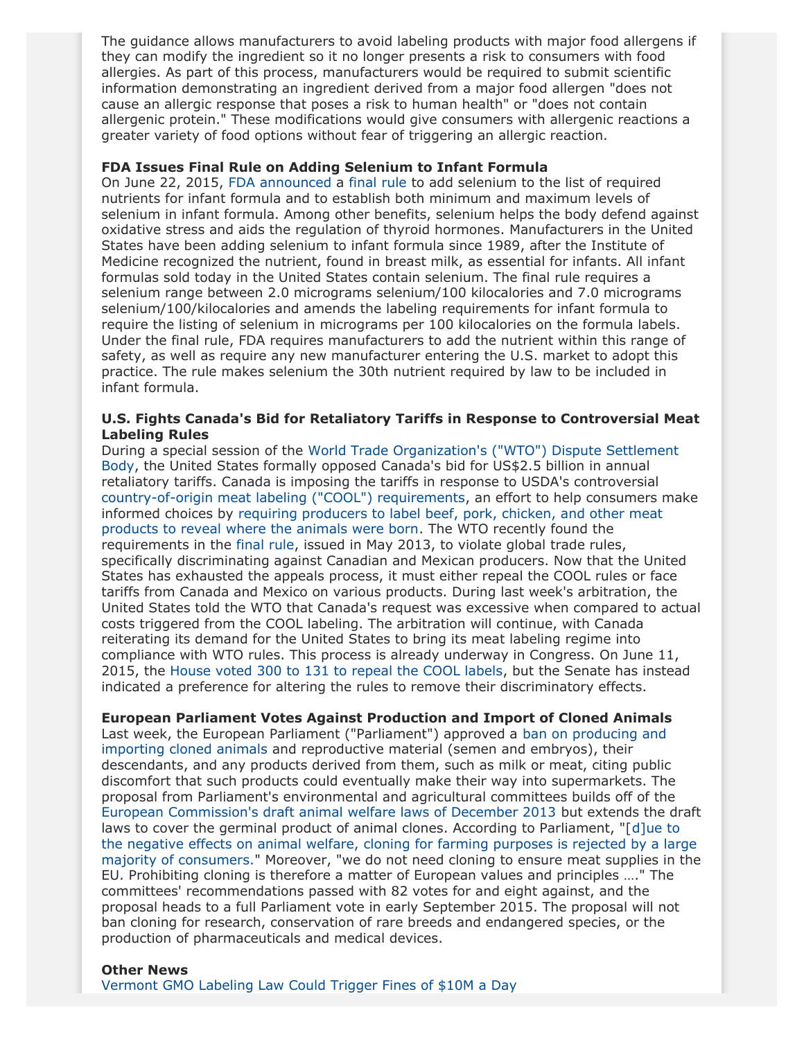The guidance allows manufacturers to avoid labeling products with major food allergens if they can modify the ingredient so it no longer presents a risk to consumers with food allergies. As part of this process, manufacturers would be required to submit scientific information demonstrating an ingredient derived from a major food allergen "does not cause an allergic response that poses a risk to human health" or "does not contain allergenic protein." These modifications would give consumers with allergenic reactions a greater variety of food options without fear of triggering an allergic reaction.

#### **FDA Issues Final Rule on Adding Selenium to Infant Formula**

On June 22, 2015, [FDA announced](http://www.fda.gov/Food/NewsEvents/ConstituentUpdates/ucm451982.htm) a [final rule](http://www.gpo.gov/fdsys/pkg/FR-2015-06-23/pdf/2015-15394.pdf) to add selenium to the list of required nutrients for infant formula and to establish both minimum and maximum levels of selenium in infant formula. Among other benefits, selenium helps the body defend against oxidative stress and aids the regulation of thyroid hormones. Manufacturers in the United States have been adding selenium to infant formula since 1989, after the Institute of Medicine recognized the nutrient, found in breast milk, as essential for infants. All infant formulas sold today in the United States contain selenium. The final rule requires a selenium range between 2.0 micrograms selenium/100 kilocalories and 7.0 micrograms selenium/100/kilocalories and amends the labeling requirements for infant formula to require the listing of selenium in micrograms per 100 kilocalories on the formula labels. Under the final rule, FDA requires manufacturers to add the nutrient within this range of safety, as well as require any new manufacturer entering the U.S. market to adopt this practice. The rule makes selenium the 30th nutrient required by law to be included in infant formula.

#### **U.S. Fights Canada's Bid for Retaliatory Tariffs in Response to Controversial Meat Labeling Rules**

During a special session of the [World Trade Organization's \("WTO"\) Dispute Settlement](https://www.wto.org/english/tratop_e/dispu_e/cases_e/ds384_e.htm) [Body](https://www.wto.org/english/tratop_e/dispu_e/cases_e/ds384_e.htm), the United States formally opposed Canada's bid for US\$2.5 billion in annual retaliatory tariffs. Canada is imposing the tariffs in response to USDA's controversial [country-of-origin meat labeling \("COOL"\) requirements,](http://www.ams.usda.gov/AMSv1.0/COOL) an effort to help consumers make informed choices by [requiring producers to label beef, pork, chicken, and other meat](http://thehill.com/regulation/242385-wto-rules-against-us-appeal-to-keep-country-of-origin-labeling-rule) [products to reveal where the animals were born](http://thehill.com/regulation/242385-wto-rules-against-us-appeal-to-keep-country-of-origin-labeling-rule). The WTO recently found the requirements in the [final rule](http://www.ams.usda.gov/AMSv1.0/ams.fetchTemplateData.do?template=TemplateU&navID=LatestReleases&page=Newsroom&topNav=Newsroom&leftNav=&rightNav1=LatestReleases&rightNav2=&resultType=Details&dDocName=STELPRDC5103968&dID=186794&wf=false&description=USDA+Issues+Final+Rule+to+Amend+Labeling+Provisions+Under+Country+of+Origin+Labeling), issued in May 2013, to violate global trade rules, specifically discriminating against Canadian and Mexican producers. Now that the United States has exhausted the appeals process, it must either repeal the COOL rules or face tariffs from Canada and Mexico on various products. During last week's arbitration, the United States told the WTO that Canada's request was excessive when compared to actual costs triggered from the COOL labeling. The arbitration will continue, with Canada reiterating its demand for the United States to bring its meat labeling regime into compliance with WTO rules. This process is already underway in Congress. On June 11, 2015, the [House voted 300 to 131 to repeal the COOL labels](http://abcnews.go.com/Health/wireStory/house-votes-repeal-country-origin-labeling-meat-31684167), but the Senate has instead indicated a preference for altering the rules to remove their discriminatory effects.

#### **European Parliament Votes Against Production and Import of Cloned Animals**

Last week, the European Parliament ("Parliament") approved a [ban on producing and](http://www.europarl.europa.eu/news/en/news-room/content/20150617IPR67269/html/Ban-not-just-animal-cloning-but-cloned-food-feed-and-imports-too-say-MEPs) [importing cloned animals](http://www.europarl.europa.eu/news/en/news-room/content/20150617IPR67269/html/Ban-not-just-animal-cloning-but-cloned-food-feed-and-imports-too-say-MEPs) and reproductive material (semen and embryos), their descendants, and any products derived from them, such as milk or meat, citing public discomfort that such products could eventually make their way into supermarkets. The proposal from Parliament's environmental and agricultural committees builds off of the [European Commission's draft animal welfare laws of December 2013](http://ec.europa.eu/food/food/biotechnology/novelfood/documents/cloning_press_release_en.pdf) but extends the draft laws to cover the germinal product of animal clones. According to Parliament, "[[d\]ue to](http://www.businessinsider.com/afp-eu-lawmakers-back-animal-cloning-ban-2015-6) [the negative effects on animal welfare, cloning for farming purposes is rejected by a large](http://www.businessinsider.com/afp-eu-lawmakers-back-animal-cloning-ban-2015-6) [majority of consumers."](http://www.businessinsider.com/afp-eu-lawmakers-back-animal-cloning-ban-2015-6) Moreover, "we do not need cloning to ensure meat supplies in the EU. Prohibiting cloning is therefore a matter of European values and principles …." The committees' recommendations passed with 82 votes for and eight against, and the proposal heads to a full Parliament vote in early September 2015. The proposal will not ban cloning for research, conservation of rare breeds and endangered species, or the production of pharmaceuticals and medical devices.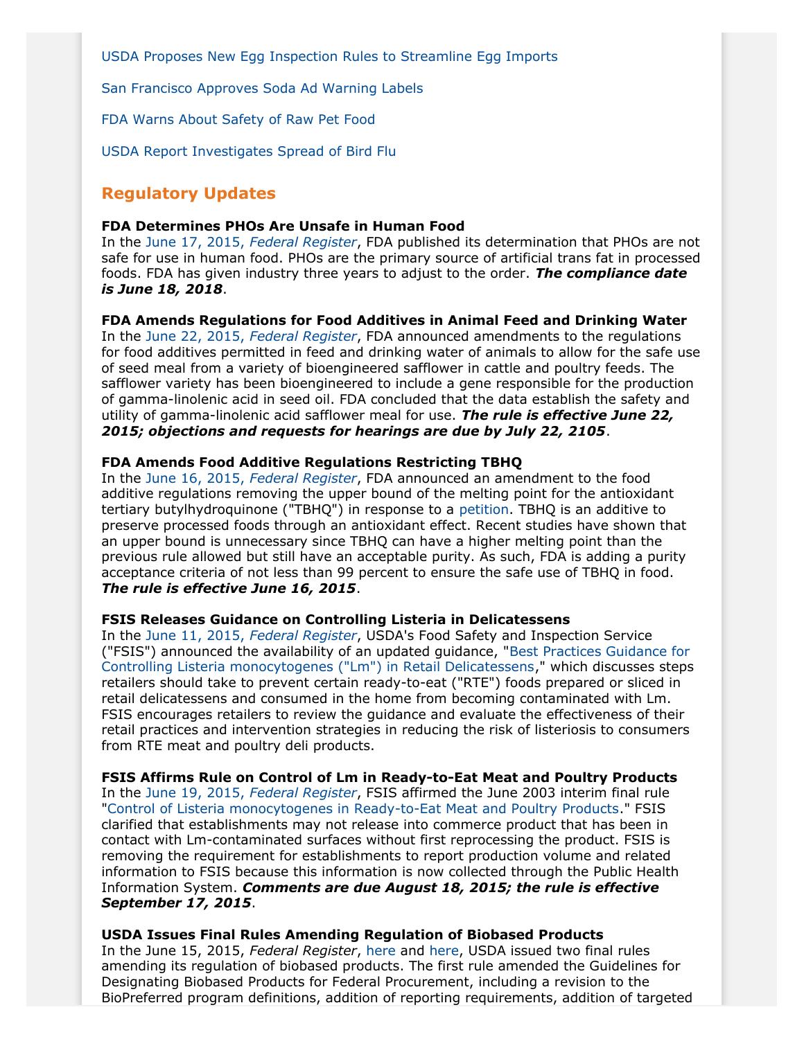[USDA Proposes New Egg Inspection Rules to Streamline Egg Imports](http://www.gpo.gov/fdsys/pkg/FR-2015-06-10/pdf/2015-14180.pdf)

[San Francisco Approves Soda Ad Warning Labels](http://well.blogs.nytimes.com/2015/06/10/warning-soda-may-be-bad-for-your-health-san-francisco-says/?_r=0)

[FDA Warns About Safety of Raw Pet Food](http://www.fda.gov/ForConsumers/ConsumerUpdates/ucm450115.htm#2)

[USDA Report Investigates Spread of Bird Flu](http://www.startribune.com/usda-says-some-farm-practices-helped-spread-lethal-bird-flu/307422201/)

# **Regulatory Updates**

#### **FDA Determines PHOs Are Unsafe in Human Food**

In the June 17, 2015, *[Federal Register](http://www.gpo.gov/fdsys/pkg/FR-2015-06-17/pdf/2015-14883.pdf)*, FDA published its determination that PHOs are not safe for use in human food. PHOs are the primary source of artificial trans fat in processed foods. FDA has given industry three years to adjust to the order. *The compliance date is June 18, 2018*.

#### **FDA Amends Regulations for Food Additives in Animal Feed and Drinking Water**

In the June 22, 2015, *[Federal Register](http://www.gpo.gov/fdsys/pkg/FR-2015-06-22/pdf/2015-15220.pdf)*, FDA announced amendments to the regulations for food additives permitted in feed and drinking water of animals to allow for the safe use of seed meal from a variety of bioengineered safflower in cattle and poultry feeds. The safflower variety has been bioengineered to include a gene responsible for the production of gamma-linolenic acid in seed oil. FDA concluded that the data establish the safety and utility of gamma-linolenic acid safflower meal for use. *The rule is effective June 22, 2015; objections and requests for hearings are due by July 22, 2105*.

#### **FDA Amends Food Additive Regulations Restricting TBHQ**

In the June 16, 2015, *[Federal Register](http://www.gpo.gov/fdsys/pkg/FR-2015-06-16/pdf/2015-14704.pdf)*, FDA announced an amendment to the food additive regulations removing the upper bound of the melting point for the antioxidant tertiary butylhydroquinone ("TBHQ") in response to a [petition.](http://www.gpo.gov/fdsys/pkg/FR-2014-04-08/pdf/2014-07632.pdf) TBHQ is an additive to preserve processed foods through an antioxidant effect. Recent studies have shown that an upper bound is unnecessary since TBHQ can have a higher melting point than the previous rule allowed but still have an acceptable purity. As such, FDA is adding a purity acceptance criteria of not less than 99 percent to ensure the safe use of TBHQ in food. *The rule is effective June 16, 2015*.

#### **FSIS Releases Guidance on Controlling Listeria in Delicatessens**

In the June 11, 2015, *[Federal Register](http://www.gpo.gov/fdsys/pkg/FR-2015-06-11/pdf/2015-14330.pdf)*, USDA's Food Safety and Inspection Service ("FSIS") announced the availability of an updated guidance, "[Best Practices Guidance for](http://www.fsis.usda.gov/wps/wcm/connect/29d51258-0651-469b-99b8-e986baee8a54/Controlling-LM-Delicatessens.pdf?MOD=AJPERES) [Controlling Listeria monocytogenes \("Lm"\) in Retail Delicatessens](http://www.fsis.usda.gov/wps/wcm/connect/29d51258-0651-469b-99b8-e986baee8a54/Controlling-LM-Delicatessens.pdf?MOD=AJPERES)," which discusses steps retailers should take to prevent certain ready-to-eat ("RTE") foods prepared or sliced in retail delicatessens and consumed in the home from becoming contaminated with Lm. FSIS encourages retailers to review the guidance and evaluate the effectiveness of their retail practices and intervention strategies in reducing the risk of listeriosis to consumers from RTE meat and poultry deli products.

**FSIS Affirms Rule on Control of Lm in Ready-to-Eat Meat and Poultry Products** In the June 19, 2015, *[Federal Register](http://www.gpo.gov/fdsys/pkg/FR-2015-06-19/pdf/2015-13507.pdf)*, FSIS affirmed the June 2003 interim final rule "[Control of Listeria monocytogenes in Ready-to-Eat Meat and Poultry Products.](http://www.gpo.gov/fdsys/pkg/FR-2003-06-06/pdf/03-14173.pdf)" FSIS clarified that establishments may not release into commerce product that has been in contact with Lm-contaminated surfaces without first reprocessing the product. FSIS is removing the requirement for establishments to report production volume and related information to FSIS because this information is now collected through the Public Health Information System. *Comments are due August 18, 2015; the rule is effective September 17, 2015*.

**USDA Issues Final Rules Amending Regulation of Biobased Products** In the June 15, 2015, *Federal Register*, [here](http://www.gpo.gov/fdsys/pkg/FR-2015-06-15/pdf/2015-14418.pdf) and [here,](http://www.gpo.gov/fdsys/pkg/FR-2015-06-15/pdf/2015-14417.pdf) USDA issued two final rules amending its regulation of biobased products. The first rule amended the Guidelines for Designating Biobased Products for Federal Procurement, including a revision to the BioPreferred program definitions, addition of reporting requirements, addition of targeted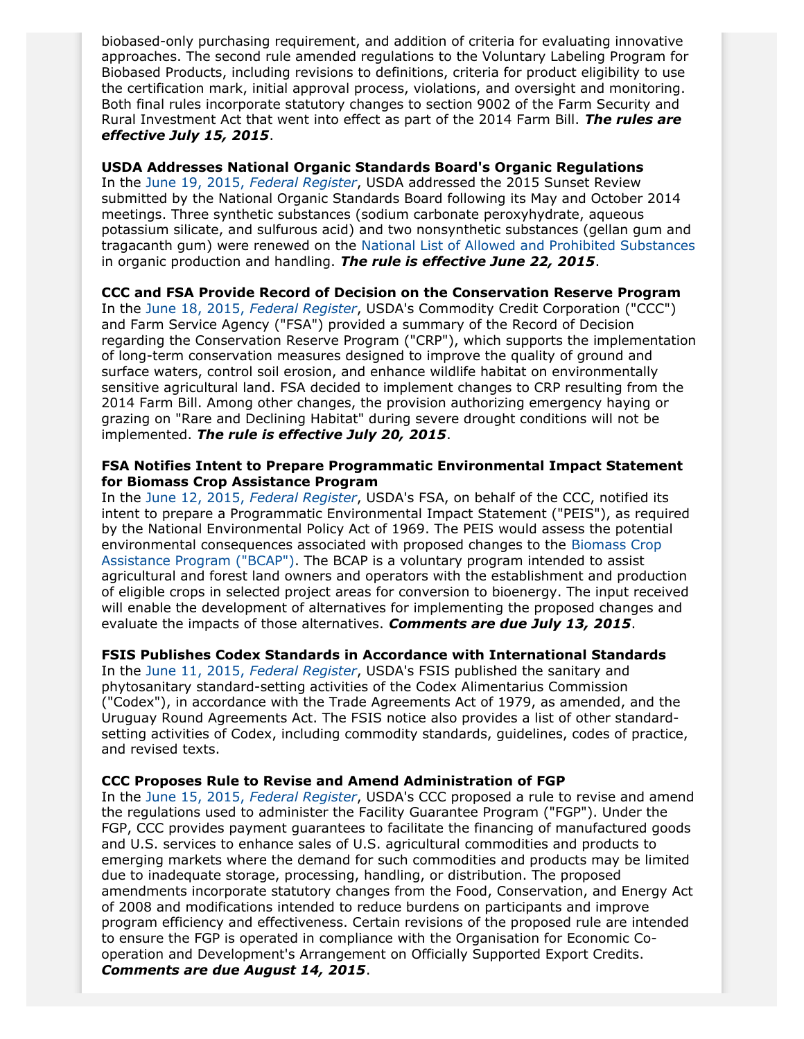biobased-only purchasing requirement, and addition of criteria for evaluating innovative approaches. The second rule amended regulations to the Voluntary Labeling Program for Biobased Products, including revisions to definitions, criteria for product eligibility to use the certification mark, initial approval process, violations, and oversight and monitoring. Both final rules incorporate statutory changes to section 9002 of the Farm Security and Rural Investment Act that went into effect as part of the 2014 Farm Bill. *The rules are effective July 15, 2015*.

**USDA Addresses National Organic Standards Board's Organic Regulations** In the June 19, 2015, *[Federal Register](http://www.gpo.gov/fdsys/pkg/FR-2015-06-19/pdf/2015-14865.pdf)*, USDA addressed the 2015 Sunset Review submitted by the National Organic Standards Board following its May and October 2014 meetings. Three synthetic substances (sodium carbonate peroxyhydrate, aqueous potassium silicate, and sulfurous acid) and two nonsynthetic substances (gellan gum and tragacanth gum) were renewed on the [National List of Allowed and Prohibited Substances](http://www.ecfr.gov/cgi-bin/text-idx?c=ecfr&SID=9874504b6f1025eb0e6b67cadf9d3b40&rgn=div6&view=text&node=7:3.1.1.9.32.7&idno=7) in organic production and handling. *The rule is effective June 22, 2015*.

**CCC and FSA Provide Record of Decision on the Conservation Reserve Program**

In the June 18, 2015, *[Federal Register](http://www.gpo.gov/fdsys/pkg/FR-2015-06-18/pdf/2015-14988.pdf)*, USDA's Commodity Credit Corporation ("CCC") and Farm Service Agency ("FSA") provided a summary of the Record of Decision regarding the Conservation Reserve Program ("CRP"), which supports the implementation of long-term conservation measures designed to improve the quality of ground and surface waters, control soil erosion, and enhance wildlife habitat on environmentally sensitive agricultural land. FSA decided to implement changes to CRP resulting from the 2014 Farm Bill. Among other changes, the provision authorizing emergency haying or grazing on "Rare and Declining Habitat" during severe drought conditions will not be implemented. *The rule is effective July 20, 2015*.

#### **FSA Notifies Intent to Prepare Programmatic Environmental Impact Statement for Biomass Crop Assistance Program**

In the June 12, 2015, *[Federal Register](http://www.gpo.gov/fdsys/pkg/FR-2015-06-12/pdf/2015-14393.pdf)*, USDA's FSA, on behalf of the CCC, notified its intent to prepare a Programmatic Environmental Impact Statement ("PEIS"), as required by the National Environmental Policy Act of 1969. The PEIS would assess the potential environmental consequences associated with proposed changes to the [Biomass Crop](http://www.fsa.usda.gov/programs-and-services/energy-programs/BCAP/index) [Assistance Program \("BCAP"\)](http://www.fsa.usda.gov/programs-and-services/energy-programs/BCAP/index). The BCAP is a voluntary program intended to assist agricultural and forest land owners and operators with the establishment and production of eligible crops in selected project areas for conversion to bioenergy. The input received will enable the development of alternatives for implementing the proposed changes and evaluate the impacts of those alternatives. *Comments are due July 13, 2015*.

#### **FSIS Publishes Codex Standards in Accordance with International Standards**

In the June 11, 2015, *[Federal Register](http://www.gpo.gov/fdsys/pkg/FR-2015-06-11/pdf/2015-14306.pdf)*, USDA's FSIS published the sanitary and phytosanitary standard-setting activities of the Codex Alimentarius Commission ("Codex"), in accordance with the Trade Agreements Act of 1979, as amended, and the Uruguay Round Agreements Act. The FSIS notice also provides a list of other standardsetting activities of Codex, including commodity standards, guidelines, codes of practice, and revised texts.

#### **CCC Proposes Rule to Revise and Amend Administration of FGP**

In the June 15, 2015, *[Federal Register](http://www.gpo.gov/fdsys/pkg/FR-2015-06-15/pdf/2015-14449.pdf)*, USDA's CCC proposed a rule to revise and amend the regulations used to administer the Facility Guarantee Program ("FGP"). Under the FGP, CCC provides payment guarantees to facilitate the financing of manufactured goods and U.S. services to enhance sales of U.S. agricultural commodities and products to emerging markets where the demand for such commodities and products may be limited due to inadequate storage, processing, handling, or distribution. The proposed amendments incorporate statutory changes from the Food, Conservation, and Energy Act of 2008 and modifications intended to reduce burdens on participants and improve program efficiency and effectiveness. Certain revisions of the proposed rule are intended to ensure the FGP is operated in compliance with the Organisation for Economic Cooperation and Development's Arrangement on Officially Supported Export Credits. *Comments are due August 14, 2015*.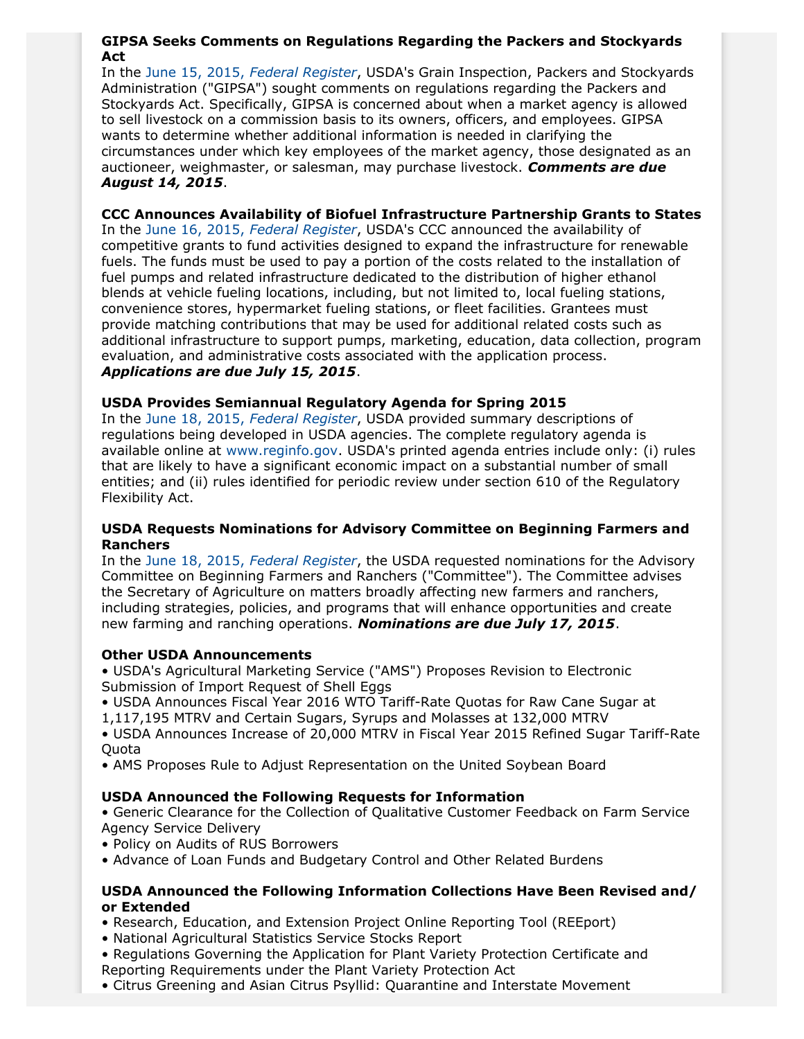## **GIPSA Seeks Comments on Regulations Regarding the Packers and Stockyards Act**

In the June 15, 2015, *[Federal Register](http://www.gpo.gov/fdsys/pkg/FR-2015-06-15/pdf/2015-14538.pdf)*, USDA's Grain Inspection, Packers and Stockyards Administration ("GIPSA") sought comments on regulations regarding the Packers and Stockyards Act. Specifically, GIPSA is concerned about when a market agency is allowed to sell livestock on a commission basis to its owners, officers, and employees. GIPSA wants to determine whether additional information is needed in clarifying the circumstances under which key employees of the market agency, those designated as an auctioneer, weighmaster, or salesman, may purchase livestock. *Comments are due August 14, 2015*.

**CCC Announces Availability of Biofuel Infrastructure Partnership Grants to States** In the June 16, 2015, *[Federal Register](http://www.gpo.gov/fdsys/pkg/FR-2015-06-16/pdf/2015-14763.pdf)*, USDA's CCC announced the availability of competitive grants to fund activities designed to expand the infrastructure for renewable fuels. The funds must be used to pay a portion of the costs related to the installation of fuel pumps and related infrastructure dedicated to the distribution of higher ethanol blends at vehicle fueling locations, including, but not limited to, local fueling stations, convenience stores, hypermarket fueling stations, or fleet facilities. Grantees must provide matching contributions that may be used for additional related costs such as additional infrastructure to support pumps, marketing, education, data collection, program evaluation, and administrative costs associated with the application process. *Applications are due July 15, 2015*.

# **USDA Provides Semiannual Regulatory Agenda for Spring 2015**

In the June 18, 2015, *[Federal Register](http://www.gpo.gov/fdsys/pkg/FR-2015-06-18/pdf/2015-14339.pdf)*, USDA provided summary descriptions of regulations being developed in USDA agencies. The complete regulatory agenda is available online at [www.reginfo.gov](http://www.reginfo.gov). USDA's printed agenda entries include only: (i) rules that are likely to have a significant economic impact on a substantial number of small entities; and (ii) rules identified for periodic review under section 610 of the Regulatory Flexibility Act.

## **USDA Requests Nominations for Advisory Committee on Beginning Farmers and Ranchers**

In the June 18, 2015, *[Federal Register](http://www.gpo.gov/fdsys/pkg/FR-2015-06-18/pdf/2015-15064.pdf)*, the USDA requested nominations for the Advisory Committee on Beginning Farmers and Ranchers ("Committee"). The Committee advises the Secretary of Agriculture on matters broadly affecting new farmers and ranchers, including strategies, policies, and programs that will enhance opportunities and create new farming and ranching operations. *Nominations are due July 17, 2015*.

## **Other USDA Announcements**

• USDA's Agricultural Marketing Service ("AMS") Proposes Revision to Electronic Submission of Import Request of Shell Eggs

• USDA Announces Fiscal Year 2016 WTO Tariff-Rate Quotas for Raw Cane Sugar at

1,117,195 MTRV and Certain Sugars, Syrups and Molasses at 132,000 MTRV

• USDA Announces Increase of 20,000 MTRV in Fiscal Year 2015 Refined Sugar Tariff-Rate Quota

• AMS Proposes Rule to Adjust Representation on the United Soybean Board

# **USDA Announced the Following Requests for Information**

• Generic Clearance for the Collection of Qualitative Customer Feedback on Farm Service Agency Service Delivery

- Policy on Audits of RUS Borrowers
- Advance of Loan Funds and Budgetary Control and Other Related Burdens

## **USDA Announced the Following Information Collections Have Been Revised and/ or Extended**

- Research, Education, and Extension Project Online Reporting Tool (REEport)
- National Agricultural Statistics Service Stocks Report
- Regulations Governing the Application for Plant Variety Protection Certificate and Reporting Requirements under the Plant Variety Protection Act
- Citrus Greening and Asian Citrus Psyllid: Quarantine and Interstate Movement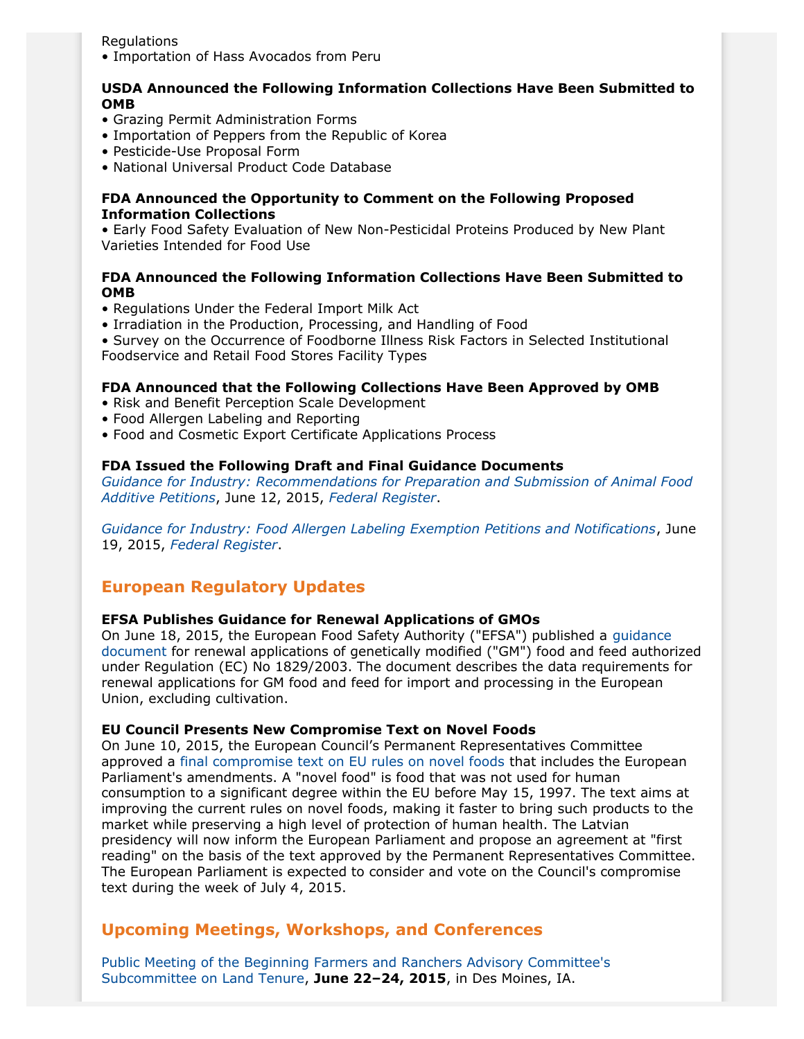Regulations

• Importation of Hass Avocados from Peru

## **USDA Announced the Following Information Collections Have Been Submitted to OMB**

- Grazing Permit Administration Forms
- Importation of Peppers from the Republic of Korea
- Pesticide-Use Proposal Form
- National Universal Product Code Database

#### **FDA Announced the Opportunity to Comment on the Following Proposed Information Collections**

• Early Food Safety Evaluation of New Non-Pesticidal Proteins Produced by New Plant Varieties Intended for Food Use

# **FDA Announced the Following Information Collections Have Been Submitted to OMB**

- Regulations Under the Federal Import Milk Act
- Irradiation in the Production, Processing, and Handling of Food

• Survey on the Occurrence of Foodborne Illness Risk Factors in Selected Institutional Foodservice and Retail Food Stores Facility Types

## **FDA Announced that the Following Collections Have Been Approved by OMB**

- Risk and Benefit Perception Scale Development
- Food Allergen Labeling and Reporting
- Food and Cosmetic Export Certificate Applications Process

#### **FDA Issued the Following Draft and Final Guidance Documents**

*[Guidance for Industry: Recommendations for Preparation and Submission of Animal Food](http://www.fda.gov/downloads/AnimalVeterinary/GuidanceComplianceEnforcement/GuidanceforIndustry/UCM367746.pdf) [Additive Petitions](http://www.fda.gov/downloads/AnimalVeterinary/GuidanceComplianceEnforcement/GuidanceforIndustry/UCM367746.pdf)*, June 12, 2015, *[Federal Register](http://www.gpo.gov/fdsys/pkg/FR-2015-06-12/pdf/2015-14364.pdf)*.

*[Guidance for Industry: Food Allergen Labeling Exemption Petitions and Notifications](http://www.fda.gov/downloads/Food/GuidanceRegulation/GuidanceDocumentsRegulatoryInformation/UCM395660.pdf)*, June 19, 2015, *[Federal Register](http://www.gpo.gov/fdsys/pkg/FR-2015-06-19/pdf/2015-15119.pdf)*.

# **European Regulatory Updates**

## **EFSA Publishes Guidance for Renewal Applications of GMOs**

On June 18, 2015, the European Food Safety Authority ("EFSA") published a [guidance](http://www.efsa.europa.eu/en/efsajournal/doc/4129.pdf) [document](http://www.efsa.europa.eu/en/efsajournal/doc/4129.pdf) for renewal applications of genetically modified ("GM") food and feed authorized under Regulation (EC) No 1829/2003. The document describes the data requirements for renewal applications for GM food and feed for import and processing in the European Union, excluding cultivation.

#### **EU Council Presents New Compromise Text on Novel Foods**

On June 10, 2015, the European Council's Permanent Representatives Committee approved a [final compromise text on EU rules on novel foods](https://eu2015.lv/news/media-releases/2130-novel-foods-council-presents-final-compromise-text) that includes the European Parliament's amendments. A "novel food" is food that was not used for human consumption to a significant degree within the EU before May 15, 1997. The text aims at improving the current rules on novel foods, making it faster to bring such products to the market while preserving a high level of protection of human health. The Latvian presidency will now inform the European Parliament and propose an agreement at "first reading" on the basis of the text approved by the Permanent Representatives Committee. The European Parliament is expected to consider and vote on the Council's compromise text during the week of July 4, 2015.

# **Upcoming Meetings, Workshops, and Conferences**

[Public Meeting of the Beginning Farmers and Ranchers Advisory Committee's](http://www.gpo.gov/fdsys/pkg/FR-2015-06-18/pdf/2015-15070.pdf) [Subcommittee on Land Tenure,](http://www.gpo.gov/fdsys/pkg/FR-2015-06-18/pdf/2015-15070.pdf) **June 22–24, 2015**, in Des Moines, IA.